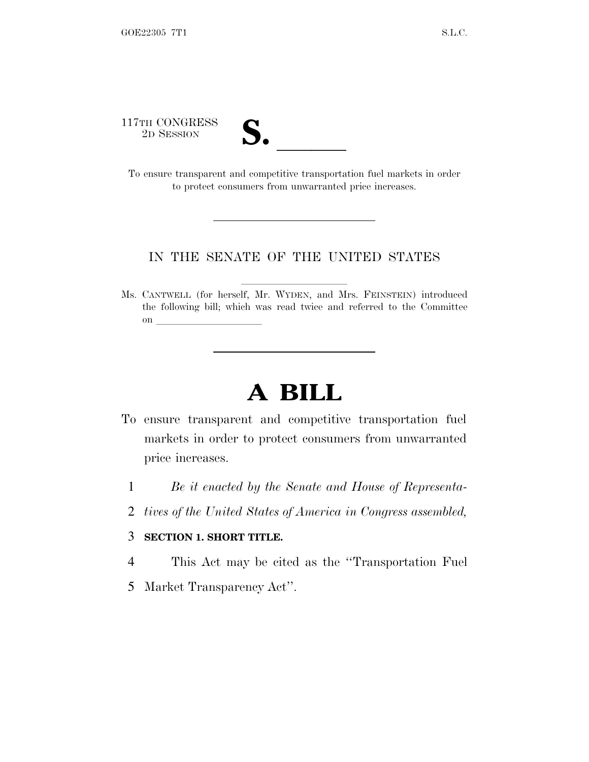117TH CONGRESS<br>2D SESSION



17TH CONGRESS<br>
2D SESSION<br>
To ensure transparent and competitive transportation fuel markets in order to protect consumers from unwarranted price increases.

## IN THE SENATE OF THE UNITED STATES

Ms. CANTWELL (for herself, Mr. WYDEN, and Mrs. FEINSTEIN) introduced the following bill; which was read twice and referred to the Committee on  $\Box$ 

## **A BILL**

- To ensure transparent and competitive transportation fuel markets in order to protect consumers from unwarranted price increases.
	- 1 *Be it enacted by the Senate and House of Representa-*
	- 2 *tives of the United States of America in Congress assembled,*

## 3 **SECTION 1. SHORT TITLE.**

4 This Act may be cited as the ''Transportation Fuel

5 Market Transparency Act''.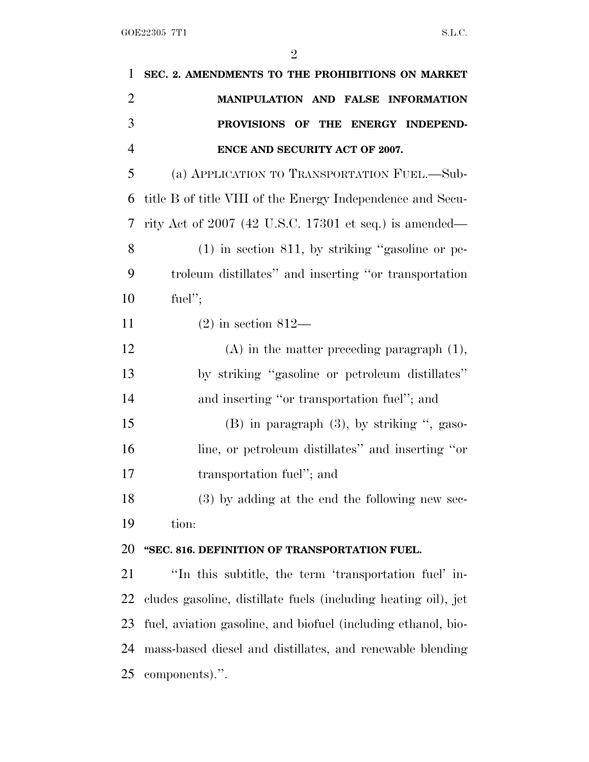| $\mathbf{1}$   | SEC. 2. AMENDMENTS TO THE PROHIBITIONS ON MARKET               |
|----------------|----------------------------------------------------------------|
| $\overline{2}$ | MANIPULATION AND FALSE INFORMATION                             |
| 3              | PROVISIONS OF THE ENERGY INDEPEND-                             |
| $\overline{4}$ | ENCE AND SECURITY ACT OF 2007.                                 |
| 5              | (a) APPLICATION TO TRANSPORTATION FUEL.-Sub-                   |
| 6              | title B of title VIII of the Energy Independence and Secu-     |
| 7              | rity Act of $2007$ (42 U.S.C. 17301 et seq.) is amended—       |
| 8              | $(1)$ in section 811, by striking "gasoline or pe-             |
| 9              | troleum distillates" and inserting "or transportation          |
| 10             | fuel";                                                         |
| 11             | $(2)$ in section 812—                                          |
| 12             | $(A)$ in the matter preceding paragraph $(1)$ ,                |
| 13             | by striking "gasoline or petroleum distillates"                |
| 14             | and inserting "or transportation fuel"; and                    |
| 15             | $(B)$ in paragraph $(3)$ , by striking ", gaso-                |
| 16             | line, or petroleum distillates" and inserting "or              |
| 17             | transportation fuel"; and                                      |
| 18             | (3) by adding at the end the following new sec-                |
| 19             | tion:                                                          |
| 20             | "SEC. 816. DEFINITION OF TRANSPORTATION FUEL.                  |
| 21             | "In this subtitle, the term 'transportation fuel' in-          |
| 22             | cludes gasoline, distillate fuels (including heating oil), jet |
| 23             | fuel, aviation gasoline, and biofuel (including ethanol, bio-  |
| 24             | mass-based diesel and distillates, and renewable blending      |
| 25             | components).".                                                 |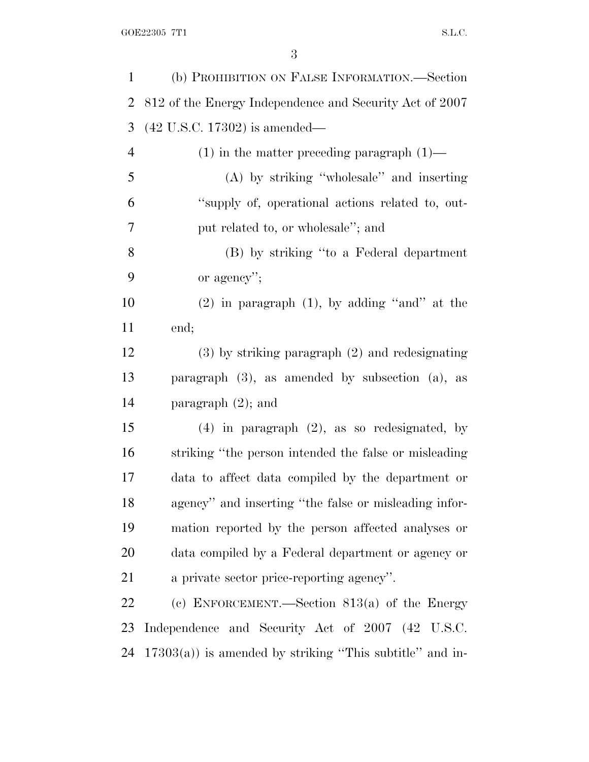| $\mathbf{1}$   | (b) PROHIBITION ON FALSE INFORMATION.—Section               |
|----------------|-------------------------------------------------------------|
| $\overline{2}$ | 812 of the Energy Independence and Security Act of 2007     |
| 3              | $(42 \text{ U.S.C. } 17302)$ is amended—                    |
| $\overline{4}$ | $(1)$ in the matter preceding paragraph $(1)$ —             |
| 5              | (A) by striking "wholesale" and inserting                   |
| 6              | "supply of, operational actions related to, out-            |
| 7              | put related to, or wholesale"; and                          |
| 8              | (B) by striking "to a Federal department                    |
| 9              | or agency";                                                 |
| 10             | $(2)$ in paragraph $(1)$ , by adding "and" at the           |
| 11             | end;                                                        |
| 12             | $(3)$ by striking paragraph $(2)$ and redesignating         |
| 13             | paragraph $(3)$ , as amended by subsection $(a)$ , as       |
| 14             | paragraph $(2)$ ; and                                       |
| 15             | $(4)$ in paragraph $(2)$ , as so redesignated, by           |
| 16             | striking "the person intended the false or misleading"      |
| 17             | data to affect data compiled by the department or           |
| 18             | agency" and inserting "the false or misleading infor-       |
| 19             | mation reported by the person affected analyses or          |
| 20             | data compiled by a Federal department or agency or          |
| 21             | a private sector price-reporting agency".                   |
| 22             | (c) ENFORCEMENT.—Section $813(a)$ of the Energy             |
| 23             | Independence and Security Act of 2007 (42 U.S.C.            |
| 24             | $17303(a)$ ) is amended by striking "This subtitle" and in- |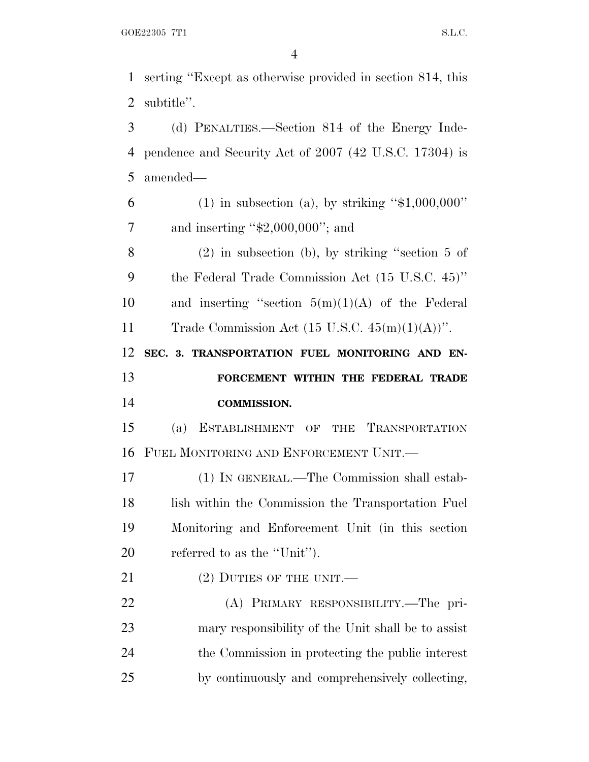serting ''Except as otherwise provided in section 814, this subtitle''.

 (d) PENALTIES.—Section 814 of the Energy Inde- pendence and Security Act of 2007 (42 U.S.C. 17304) is amended—

6 (1) in subsection (a), by striking " $$1,000,000$ " 7 and inserting "\$2,000,000"; and

 (2) in subsection (b), by striking ''section 5 of the Federal Trade Commission Act (15 U.S.C. 45)'' 10 and inserting "section  $5(m)(1)(A)$  of the Federal 11 Trade Commission Act  $(15 \text{ U.S.C. } 45(m)(1)(\text{A}))$ ".

 **SEC. 3. TRANSPORTATION FUEL MONITORING AND EN- FORCEMENT WITHIN THE FEDERAL TRADE COMMISSION.**

 (a) ESTABLISHMENT OF THE TRANSPORTATION FUEL MONITORING AND ENFORCEMENT UNIT.—

 (1) IN GENERAL.—The Commission shall estab-18 lish within the Commission the Transportation Fuel Monitoring and Enforcement Unit (in this section referred to as the ''Unit'').

21 (2) DUTIES OF THE UNIT.

 (A) PRIMARY RESPONSIBILITY.—The pri- mary responsibility of the Unit shall be to assist the Commission in protecting the public interest by continuously and comprehensively collecting,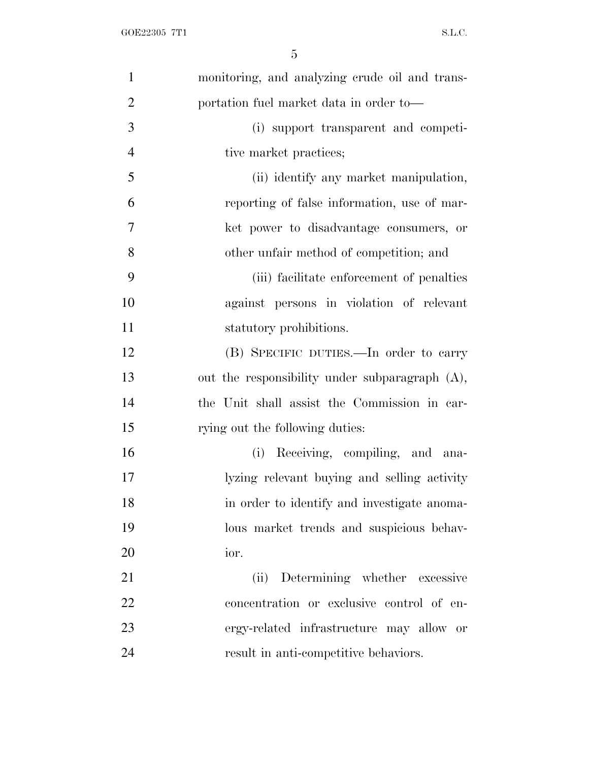| $\mathbf{1}$   | monitoring, and analyzing crude oil and trans-    |
|----------------|---------------------------------------------------|
| $\overline{2}$ | portation fuel market data in order to—           |
| 3              | (i) support transparent and competi-              |
| $\overline{4}$ | tive market practices;                            |
| 5              | (ii) identify any market manipulation,            |
| 6              | reporting of false information, use of mar-       |
| $\overline{7}$ | ket power to disadvantage consumers, or           |
| 8              | other unfair method of competition; and           |
| 9              | (iii) facilitate enforcement of penalties         |
| 10             | against persons in violation of relevant          |
| 11             | statutory prohibitions.                           |
| 12             | (B) SPECIFIC DUTIES.—In order to carry            |
| 13             | out the responsibility under subparagraph $(A)$ , |
| 14             | the Unit shall assist the Commission in car-      |
| 15             | rying out the following duties:                   |
| 16             | (i) Receiving, compiling, and ana-                |
| 17             | lyzing relevant buying and selling activity       |
| 18             | in order to identify and investigate anoma-       |
| 19             | lous market trends and suspicious behav-          |
| 20             | ior.                                              |
| 21             | (ii) Determining whether excessive                |
| 22             | concentration or exclusive control of en-         |
| 23             | ergy-related infrastructure may allow or          |
| 24             | result in anti-competitive behaviors.             |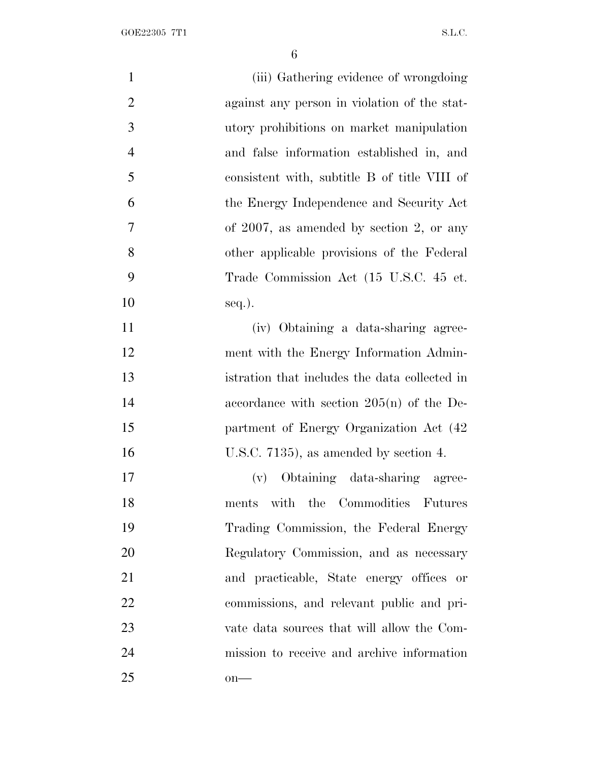| $\mathbf{1}$   | (iii) Gathering evidence of wrongdoing        |
|----------------|-----------------------------------------------|
| $\overline{2}$ | against any person in violation of the stat-  |
| 3              | utory prohibitions on market manipulation     |
| $\overline{4}$ | and false information established in, and     |
| 5              | consistent with, subtitle B of title VIII of  |
| 6              | the Energy Independence and Security Act      |
| 7              | of $2007$ , as amended by section 2, or any   |
| 8              | other applicable provisions of the Federal    |
| 9              | Trade Commission Act (15 U.S.C. 45 et.        |
| 10             | $seq.$ ).                                     |
| 11             | (iv) Obtaining a data-sharing agree-          |
| 12             | ment with the Energy Information Admin-       |
| 13             | istration that includes the data collected in |
| 14             | accordance with section $205(n)$ of the De-   |
| 15             | partment of Energy Organization Act (42       |
| 16             | U.S.C. $7135$ ), as amended by section 4.     |
| 17             | (v) Obtaining data-sharing agree-             |
| 18             | with the Commodities Futures<br>ments         |
| 19             | Trading Commission, the Federal Energy        |
| 20             | Regulatory Commission, and as necessary       |
| 21             | and practicable, State energy offices or      |
| 22             | commissions, and relevant public and pri-     |
| 23             | vate data sources that will allow the Com-    |
| 24             | mission to receive and archive information    |
| 25             | $on-$                                         |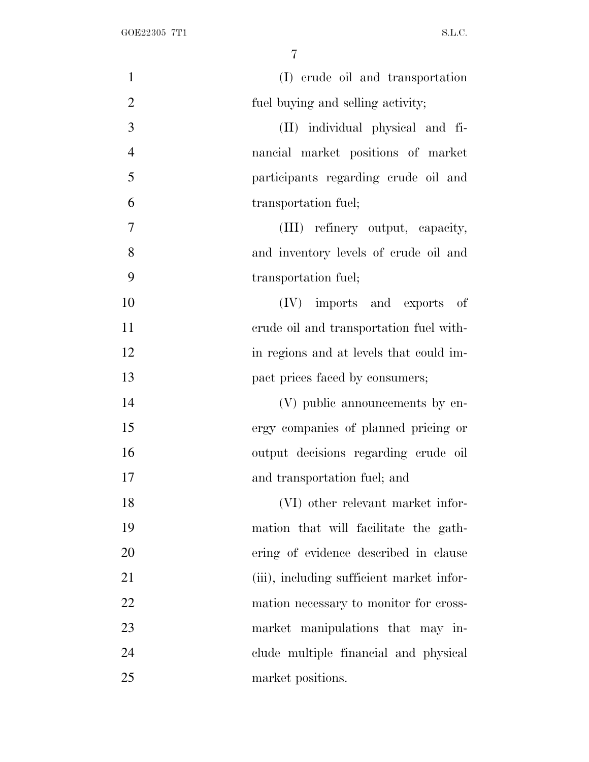| $\mathbf{1}$   | (I) crude oil and transportation          |
|----------------|-------------------------------------------|
| $\overline{2}$ | fuel buying and selling activity;         |
| 3              | (II) individual physical and fi-          |
| $\overline{4}$ | nancial market positions of market        |
| 5              | participants regarding crude oil and      |
| 6              | transportation fuel;                      |
| 7              | (III) refinery output, capacity,          |
| 8              | and inventory levels of crude oil and     |
| 9              | transportation fuel;                      |
| 10             | (IV) imports and exports of               |
| 11             | erude oil and transportation fuel with-   |
| 12             | in regions and at levels that could im-   |
| 13             | pact prices faced by consumers;           |
| 14             | (V) public announcements by en-           |
| 15             | ergy companies of planned pricing or      |
| 16             | output decisions regarding crude oil      |
| 17             | and transportation fuel; and              |
| 18             | (VI) other relevant market infor-         |
| 19             | mation that will facilitate the gath-     |
| 20             | ering of evidence described in clause     |
| 21             | (iii), including sufficient market infor- |
| 22             | mation necessary to monitor for cross-    |
| $23\,$         | market manipulations that may in-         |
| 24             | clude multiple financial and physical     |
| 25             | market positions.                         |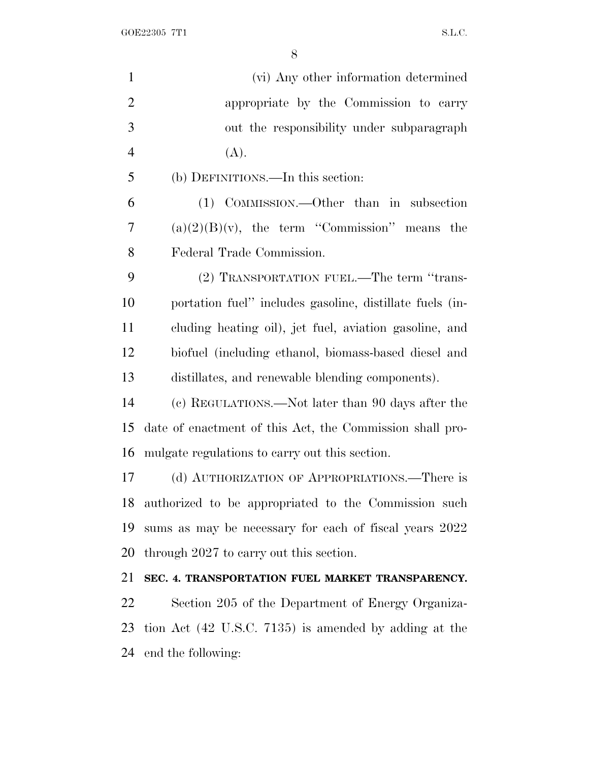GOE22305 7T1 S.L.C.

| $\mathbf{1}$   | (vi) Any other information determined                    |
|----------------|----------------------------------------------------------|
| $\overline{2}$ | appropriate by the Commission to carry                   |
| 3              | out the responsibility under subparagraph                |
| $\overline{4}$ | (A).                                                     |
| 5              | (b) DEFINITIONS.—In this section:                        |
| 6              | (1) COMMISSION.—Other than in subsection                 |
| 7              | $(a)(2)(B)(v)$ , the term "Commission" means the         |
| 8              | Federal Trade Commission.                                |
| 9              | (2) TRANSPORTATION FUEL.—The term "trans-                |
| 10             | portation fuel" includes gasoline, distillate fuels (in- |
| 11             | cluding heating oil), jet fuel, aviation gasoline, and   |
| 12             | biofuel (including ethanol, biomass-based diesel and     |
| 13             | distillates, and renewable blending components).         |
| 14             | (c) REGULATIONS.—Not later than 90 days after the        |
| 15             | date of enactment of this Act, the Commission shall pro- |
| 16             | mulgate regulations to carry out this section.           |
| 17             | (d) AUTHORIZATION OF APPROPRIATIONS.—There is            |
| 18             | authorized to be appropriated to the Commission such     |
| 19             | sums as may be necessary for each of fiscal years 2022   |
| 20             | through 2027 to carry out this section.                  |
| 21             | SEC. 4. TRANSPORTATION FUEL MARKET TRANSPARENCY.         |
| 22             | Section 205 of the Department of Energy Organiza-        |
| 23             | tion Act (42 U.S.C. 7135) is amended by adding at the    |
|                | 24 end the following:                                    |
|                |                                                          |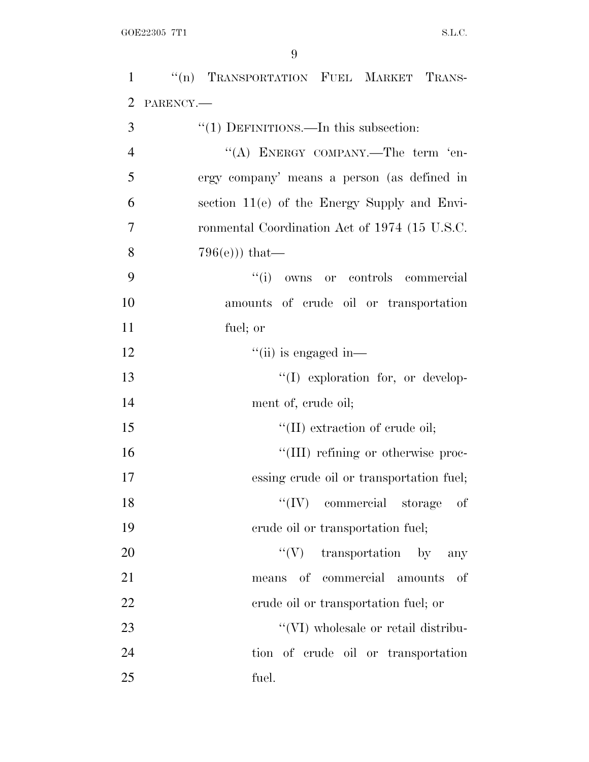| $\mathbf{1}$   | "(n) TRANSPORTATION FUEL MARKET TRANS-         |
|----------------|------------------------------------------------|
| $\overline{2}$ | PARENCY.                                       |
| 3              | $"(1)$ DEFINITIONS.—In this subsection:        |
| $\overline{4}$ | "(A) ENERGY COMPANY.—The term 'en-             |
| 5              | ergy company' means a person (as defined in    |
| 6              | section $11(e)$ of the Energy Supply and Envi- |
| 7              | ronmental Coordination Act of 1974 (15 U.S.C.  |
| 8              | $796(e))$ that—                                |
| 9              | ``(i)<br>owns or controls commercial           |
| 10             | amounts of crude oil or transportation         |
| 11             | fuel; or                                       |
| 12             | $\lq\lq$ (ii) is engaged in—                   |
| 13             | $\lq\lq$ exploration for, or develop-          |
| 14             | ment of, crude oil;                            |
| 15             | $\lq\lq$ (II) extraction of crude oil;         |
| 16             | "(III) refining or otherwise proc-             |
| 17             | essing crude oil or transportation fuel;       |
| 18             | $\lq\lq$ (IV) commercial storage of            |
| 19             | erude oil or transportation fuel;              |
| 20             | ``(V)<br>transportation by<br>any              |
| 21             | means of commercial amounts<br>-of             |
| 22             | erude oil or transportation fuel; or           |
| 23             | "(VI) wholesale or retail distribu-            |
| 24             | tion of crude oil or transportation            |
| 25             | fuel.                                          |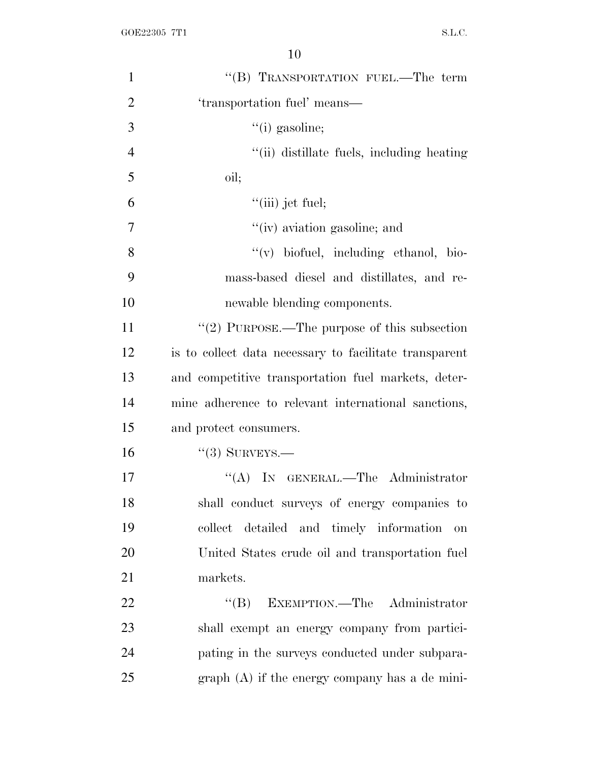| $\mathbf{1}$   | "(B) TRANSPORTATION FUEL.—The term                     |
|----------------|--------------------------------------------------------|
| $\overline{2}$ | 'transportation fuel' means—                           |
| 3              | $``(i)$ gasoline;                                      |
| $\overline{4}$ | "(ii) distillate fuels, including heating              |
| 5              | oil;                                                   |
| 6              | $``$ (iii) jet fuel;                                   |
| 7              | "(iv) aviation gasoline; and                           |
| 8              | "(v) biofuel, including ethanol, bio-                  |
| 9              | mass-based diesel and distillates, and re-             |
| 10             | newable blending components.                           |
| 11             | "(2) PURPOSE.—The purpose of this subsection           |
| 12             | is to collect data necessary to facilitate transparent |
| 13             | and competitive transportation fuel markets, deter-    |
| 14             | mine adherence to relevant international sanctions,    |
| 15             | and protect consumers.                                 |
| 16             | $``(3)$ SURVEYS.—                                      |
| 17             | "(A) IN GENERAL.—The Administrator                     |
| 18             | shall conduct surveys of energy companies to           |
| 19             | collect detailed and timely information<br>on          |
| 20             | United States crude oil and transportation fuel        |
| 21             | markets.                                               |
| 22             | EXEMPTION.—The Administrator<br>``(B)                  |
| 23             | shall exempt an energy company from partici-           |
| 24             | pating in the surveys conducted under subpara-         |
| 25             | $graph(A)$ if the energy company has a de mini-        |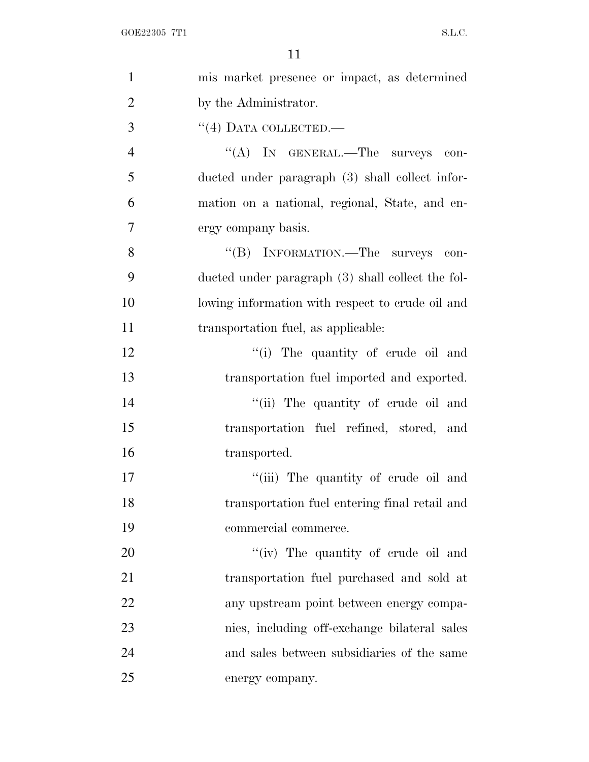| $\mathbf{1}$   | mis market presence or impact, as determined      |
|----------------|---------------------------------------------------|
| $\overline{2}$ | by the Administrator.                             |
| 3              | $``(4)$ DATA COLLECTED.—                          |
| $\overline{4}$ | "(A) IN GENERAL.—The surveys<br>$\cos$            |
| 5              | ducted under paragraph (3) shall collect infor-   |
| 6              | mation on a national, regional, State, and en-    |
| 7              | ergy company basis.                               |
| 8              | "(B) INFORMATION.—The surveys con-                |
| 9              | ducted under paragraph (3) shall collect the fol- |
| 10             | lowing information with respect to crude oil and  |
| 11             | transportation fuel, as applicable:               |
| 12             | "(i) The quantity of crude oil and                |
| 13             | transportation fuel imported and exported.        |
| 14             | "(ii) The quantity of crude oil and               |
| 15             | transportation fuel refined, stored, and          |
| 16             | transported.                                      |
| 17             | "(iii) The quantity of crude oil and              |
| 18             | transportation fuel entering final retail and     |
| 19             | commercial commerce.                              |
| 20             | "(iv) The quantity of crude oil and               |
| 21             | transportation fuel purchased and sold at         |
| 22             | any upstream point between energy compa-          |
| 23             | nies, including off-exchange bilateral sales      |
| 24             | and sales between subsidiaries of the same        |
| 25             | energy company.                                   |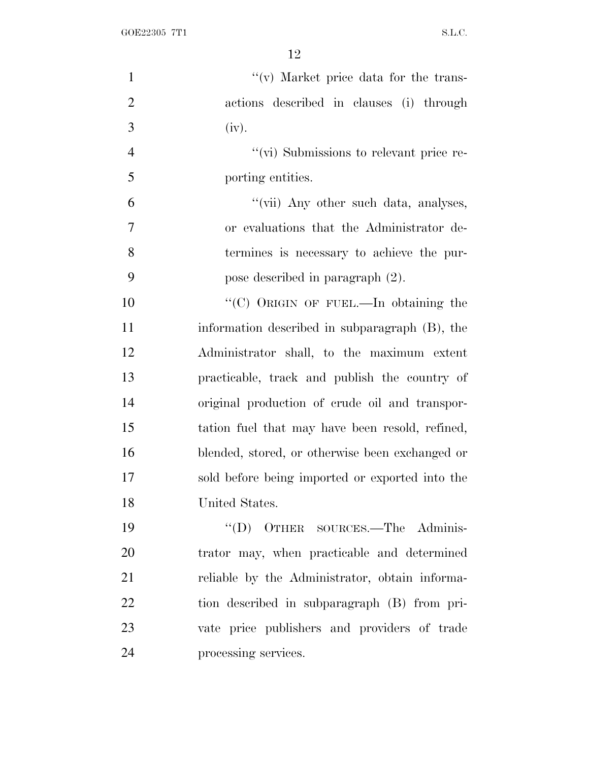| $\mathbf{1}$   | $f'(v)$ Market price data for the trans-        |
|----------------|-------------------------------------------------|
| $\overline{2}$ | actions described in clauses (i) through        |
| 3              | (iv).                                           |
| $\overline{4}$ | "(vi) Submissions to relevant price re-         |
| 5              | porting entities.                               |
| 6              | "(vii) Any other such data, analyses,           |
| $\tau$         | or evaluations that the Administrator de-       |
| 8              | termines is necessary to achieve the pur-       |
| 9              | pose described in paragraph (2).                |
| 10             | "(C) ORIGIN OF FUEL.—In obtaining the           |
| 11             | information described in subparagraph (B), the  |
| 12             | Administrator shall, to the maximum extent      |
| 13             | practicable, track and publish the country of   |
| 14             | original production of crude oil and transpor-  |
| 15             | tation fuel that may have been resold, refined, |
| 16             | blended, stored, or otherwise been exchanged or |
| 17             | sold before being imported or exported into the |
| 18             | United States.                                  |
| 19             | "(D) OTHER SOURCES.—The Adminis-                |
| 20             | trator may, when practicable and determined     |
| 21             | reliable by the Administrator, obtain informa-  |
| 22             | tion described in subparagraph (B) from pri-    |
| 23             | vate price publishers and providers of trade    |
| 24             | processing services.                            |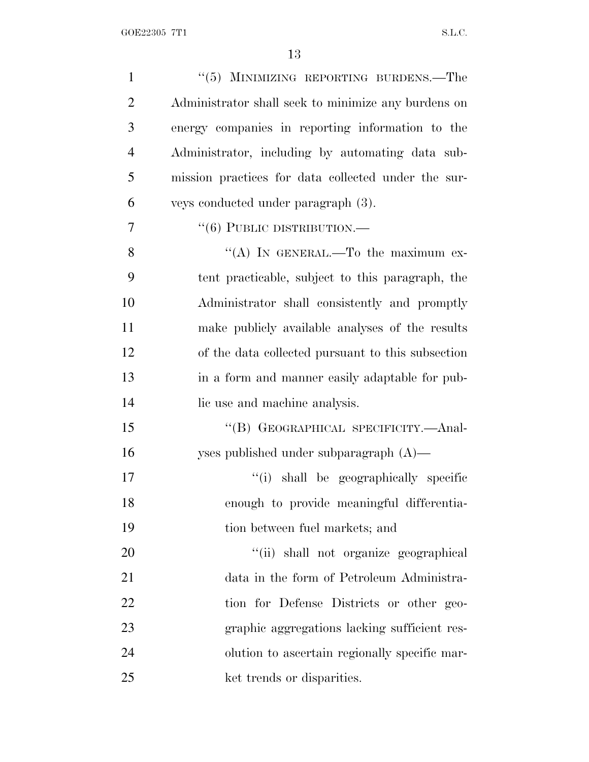| $\mathbf{1}$   | "(5) MINIMIZING REPORTING BURDENS.—The              |
|----------------|-----------------------------------------------------|
| $\overline{2}$ | Administrator shall seek to minimize any burdens on |
| 3              | energy companies in reporting information to the    |
| $\overline{4}$ | Administrator, including by automating data sub-    |
| 5              | mission practices for data collected under the sur- |
| 6              | veys conducted under paragraph (3).                 |
| 7              | $``(6)$ PUBLIC DISTRIBUTION.—                       |
| 8              | "(A) IN GENERAL.—To the maximum ex-                 |
| 9              | tent practicable, subject to this paragraph, the    |
| 10             | Administrator shall consistently and promptly       |
| 11             | make publicly available analyses of the results     |
| 12             | of the data collected pursuant to this subsection   |
| 13             | in a form and manner easily adaptable for pub-      |
| 14             | lic use and machine analysis.                       |
| 15             | "(B) GEOGRAPHICAL SPECIFICITY.—Anal-                |
| 16             | yses published under subparagraph $(A)$ —           |
| 17             | "(i) shall be geographically specific               |
| 18             | enough to provide meaningful differentia-           |
| 19             | tion between fuel markets; and                      |
| 20             | "(ii) shall not organize geographical               |
| 21             | data in the form of Petroleum Administra-           |
| 22             | tion for Defense Districts or other geo-            |
| 23             | graphic aggregations lacking sufficient res-        |
| 24             | olution to ascertain regionally specific mar-       |
| 25             | ket trends or disparities.                          |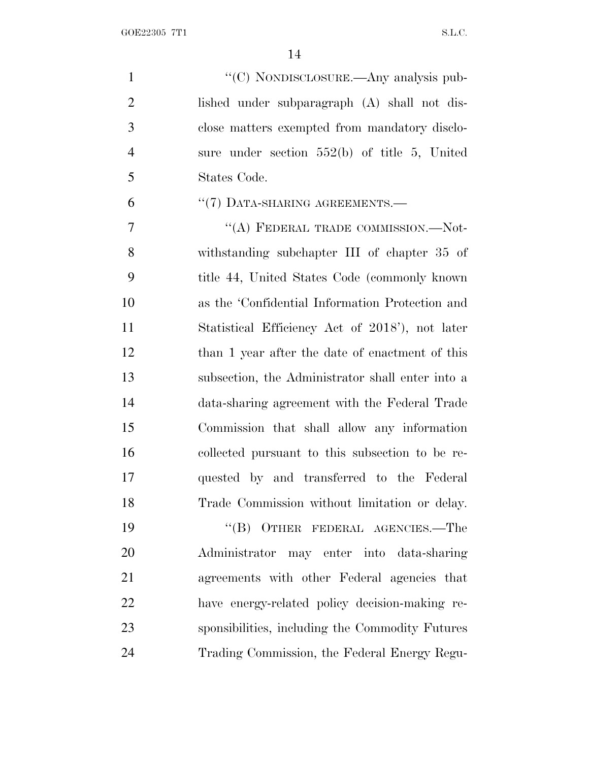| $\mathbf{1}$   | "(C) NONDISCLOSURE.—Any analysis pub-            |
|----------------|--------------------------------------------------|
| $\overline{2}$ | lished under subparagraph (A) shall not dis-     |
| 3              | close matters exempted from mandatory disclo-    |
| $\overline{4}$ | sure under section $552(b)$ of title 5, United   |
| 5              | States Code.                                     |
| 6              | "(7) DATA-SHARING AGREEMENTS.-                   |
| 7              | "(A) FEDERAL TRADE COMMISSION.-Not-              |
| 8              | withstanding subchapter III of chapter 35 of     |
| 9              | title 44, United States Code (commonly known)    |
| 10             | as the 'Confidential Information Protection and  |
| 11             | Statistical Efficiency Act of 2018'), not later  |
| 12             | than 1 year after the date of enactment of this  |
| 13             | subsection, the Administrator shall enter into a |
| 14             | data-sharing agreement with the Federal Trade    |
| 15             | Commission that shall allow any information      |
| 16             | collected pursuant to this subsection to be re-  |
| 17             | quested by and transferred to the Federal        |
| 18             | Trade Commission without limitation or delay.    |
| 19             | $``(B)$ OTHER FEDERAL AGENCIES.—The              |
| 20             | Administrator may enter into data-sharing        |
| 21             | agreements with other Federal agencies that      |
| 22             | have energy-related policy decision-making re-   |
| 23             | sponsibilities, including the Commodity Futures  |

Trading Commission, the Federal Energy Regu-